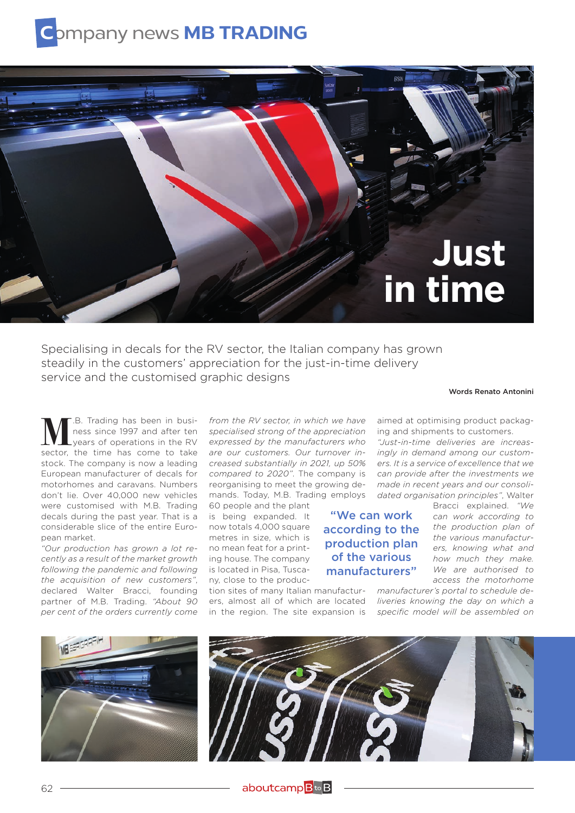## **C**ompany news **MB TRADING**



Specialising in decals for the RV sector, the Italian company has grown steadily in the customers' appreciation for the just-in-time delivery service and the customised graphic designs

Words Renato Antonini

**M.**B. Trading has been in business since 1997 and after ten years of operations in the RV ness since 1997 and after ten years of operations in the RV sector, the time has come to take stock. The company is now a leading European manufacturer of decals for motorhomes and caravans. Numbers don't lie. Over 40,000 new vehicles were customised with M.B. Trading decals during the past year. That is a considerable slice of the entire European market.

*"Our production has grown a lot recently as a result of the market growth following the pandemic and following the acquisition of new customers"*, declared Walter Bracci, founding partner of M.B. Trading. *"About 90 per cent of the orders currently come* 

*from the RV sector, in which we have specialised strong of the appreciation expressed by the manufacturers who are our customers. Our turnover increased substantially in 2021, up 50% compared to 2020"*. The company is reorganising to meet the growing demands. Today, M.B. Trading employs

60 people and the plant is being expanded. It now totals 4,000 square metres in size, which is no mean feat for a printing house. The company is located in Pisa, Tuscany, close to the produc-

in the region. The site expansion is *specific model will be assembled on* tion sites of many Italian manufactur-

aimed at optimising product packaging and shipments to customers.

*"Just-in-time deliveries are increasingly in demand among our customers. It is a service of excellence that we can provide after the investments we made in recent years and our consolidated organisation principles"*, Walter

"We can work according to the production plan of the various manufacturers"

Bracci explained. *"We can work according to the production plan of the various manufacturers, knowing what and how much they make. We are authorised to access the motorhome* 

*manufacturer's portal to schedule de*ers, almost all of which are located *liveries knowing the day on which a*